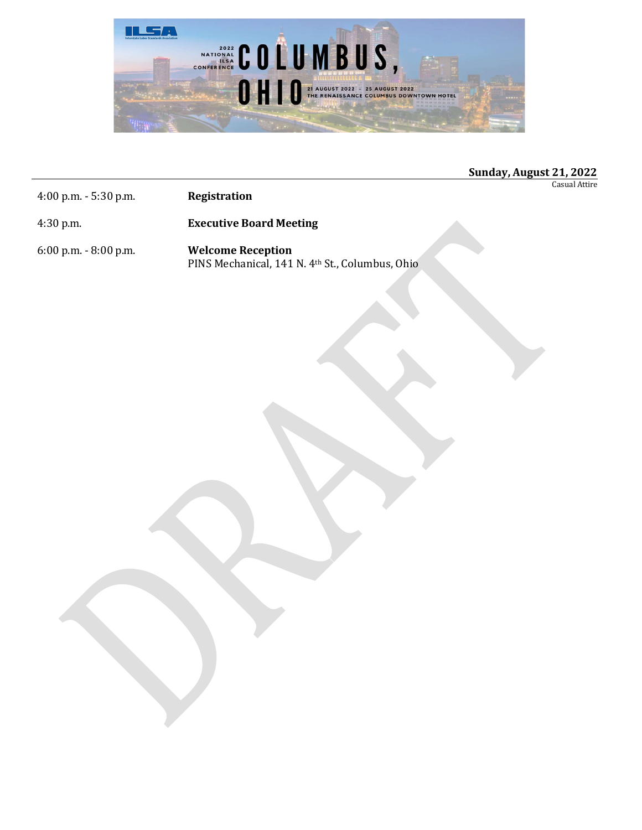

## Sunday, August 21, 2022

Casual Attire

4:00 p.m. - 5:30 p.m. Registration

4:30 p.m. Executive Board Meeting

6:00 p.m. - 8:00 p.m. Welcome Reception PINS Mechanical, 141 N. 4th St., Columbus, Ohio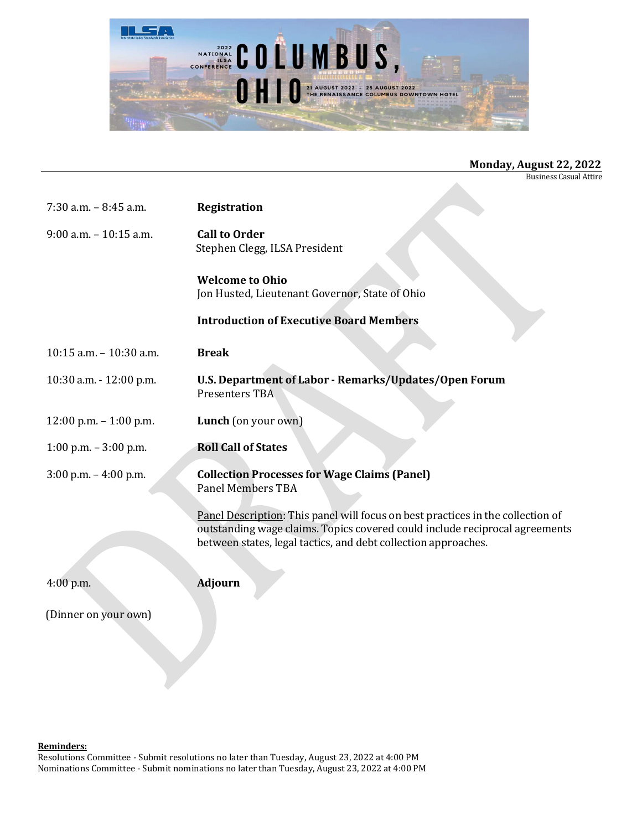

Business Casual Attire

| $7:30$ a.m. $-8:45$ a.m.  | Registration                                                                                                                                                                                                                     |
|---------------------------|----------------------------------------------------------------------------------------------------------------------------------------------------------------------------------------------------------------------------------|
| $9:00$ a.m. $-10:15$ a.m. | <b>Call to Order</b><br>Stephen Clegg, ILSA President                                                                                                                                                                            |
|                           | <b>Welcome to Ohio</b><br>Jon Husted, Lieutenant Governor, State of Ohio                                                                                                                                                         |
|                           | <b>Introduction of Executive Board Members</b>                                                                                                                                                                                   |
| 10:15 a.m. - 10:30 a.m.   | <b>Break</b>                                                                                                                                                                                                                     |
| 10:30 a.m. - 12:00 p.m.   | U.S. Department of Labor - Remarks/Updates/Open Forum<br>Presenters TBA                                                                                                                                                          |
| $12:00$ p.m. $-1:00$ p.m. | Lunch (on your own)                                                                                                                                                                                                              |
| 1:00 p.m. $-3:00$ p.m.    | <b>Roll Call of States</b>                                                                                                                                                                                                       |
| 3:00 p.m. - 4:00 p.m.     | <b>Collection Processes for Wage Claims (Panel)</b><br><b>Panel Members TBA</b>                                                                                                                                                  |
|                           | Panel Description: This panel will focus on best practices in the collection of<br>outstanding wage claims. Topics covered could include reciprocal agreements<br>between states, legal tactics, and debt collection approaches. |
| 4:00 p.m.                 | <b>Adjourn</b>                                                                                                                                                                                                                   |
| (Dinner on your own)      |                                                                                                                                                                                                                                  |

## Reminders:

Resolutions Committee - Submit resolutions no later than Tuesday, August 23, 2022 at 4:00 PM Nominations Committee - Submit nominations no later than Tuesday, August 23, 2022 at 4:00 PM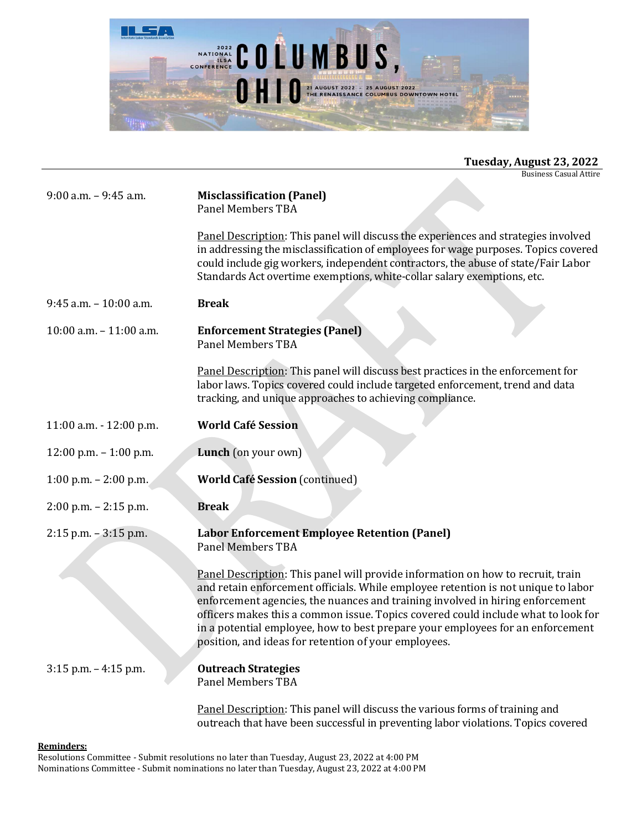

| Tuesday, August 23, 2022 |  |  |
|--------------------------|--|--|
|--------------------------|--|--|

Business Casual Attire

| $9:00$ a.m. $-9:45$ a.m.   | <b>Misclassification (Panel)</b><br><b>Panel Members TBA</b>                                                                                                                                                                                                                                                                                                                                                                                                                         |
|----------------------------|--------------------------------------------------------------------------------------------------------------------------------------------------------------------------------------------------------------------------------------------------------------------------------------------------------------------------------------------------------------------------------------------------------------------------------------------------------------------------------------|
|                            | Panel Description: This panel will discuss the experiences and strategies involved<br>in addressing the misclassification of employees for wage purposes. Topics covered<br>could include gig workers, independent contractors, the abuse of state/Fair Labor<br>Standards Act overtime exemptions, white-collar salary exemptions, etc.                                                                                                                                             |
| 9:45 a.m. - 10:00 a.m.     | <b>Break</b>                                                                                                                                                                                                                                                                                                                                                                                                                                                                         |
| $10:00$ a.m. $-11:00$ a.m. | <b>Enforcement Strategies (Panel)</b><br><b>Panel Members TBA</b>                                                                                                                                                                                                                                                                                                                                                                                                                    |
|                            | Panel Description: This panel will discuss best practices in the enforcement for<br>labor laws. Topics covered could include targeted enforcement, trend and data<br>tracking, and unique approaches to achieving compliance.                                                                                                                                                                                                                                                        |
| 11:00 a.m. - 12:00 p.m.    | <b>World Café Session</b>                                                                                                                                                                                                                                                                                                                                                                                                                                                            |
| $12:00$ p.m. $-1:00$ p.m.  | Lunch (on your own)                                                                                                                                                                                                                                                                                                                                                                                                                                                                  |
| 1:00 p.m. $- 2:00$ p.m.    | <b>World Café Session (continued)</b>                                                                                                                                                                                                                                                                                                                                                                                                                                                |
| $2:00$ p.m. $- 2:15$ p.m.  | <b>Break</b>                                                                                                                                                                                                                                                                                                                                                                                                                                                                         |
| $2:15$ p.m. $-3:15$ p.m.   | <b>Labor Enforcement Employee Retention (Panel)</b><br><b>Panel Members TBA</b>                                                                                                                                                                                                                                                                                                                                                                                                      |
|                            | Panel Description: This panel will provide information on how to recruit, train<br>and retain enforcement officials. While employee retention is not unique to labor<br>enforcement agencies, the nuances and training involved in hiring enforcement<br>officers makes this a common issue. Topics covered could include what to look for<br>in a potential employee, how to best prepare your employees for an enforcement<br>position, and ideas for retention of your employees. |
| 3:15 p.m. - 4:15 p.m.      | <b>Outreach Strategies</b><br><b>Panel Members TBA</b>                                                                                                                                                                                                                                                                                                                                                                                                                               |
|                            | Panel Description: This panel will discuss the various forms of training and                                                                                                                                                                                                                                                                                                                                                                                                         |

outreach that have been successful in preventing labor violations. Topics covered

## Reminders:

Resolutions Committee - Submit resolutions no later than Tuesday, August 23, 2022 at 4:00 PM Nominations Committee - Submit nominations no later than Tuesday, August 23, 2022 at 4:00 PM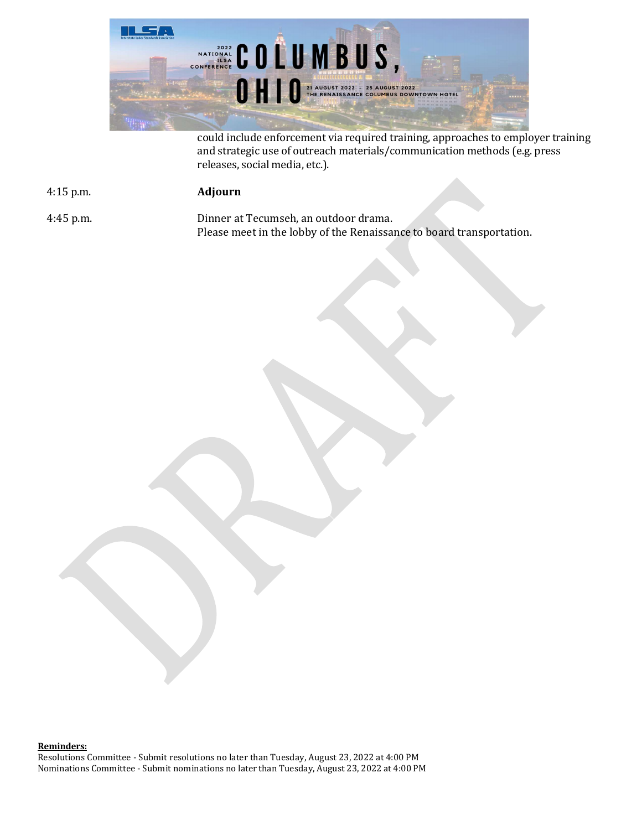

could include enforcement via required training, approaches to employer training and strategic use of outreach materials/communication methods (e.g. press releases, social media, etc.).

4:15 p.m. Adjourn

4:45 p.m. Dinner at Tecumseh, an outdoor drama. Please meet in the lobby of the Renaissance to board transportation.

Reminders: Resolutions Committee - Submit resolutions no later than Tuesday, August 23, 2022 at 4:00 PM Nominations Committee - Submit nominations no later than Tuesday, August 23, 2022 at 4:00 PM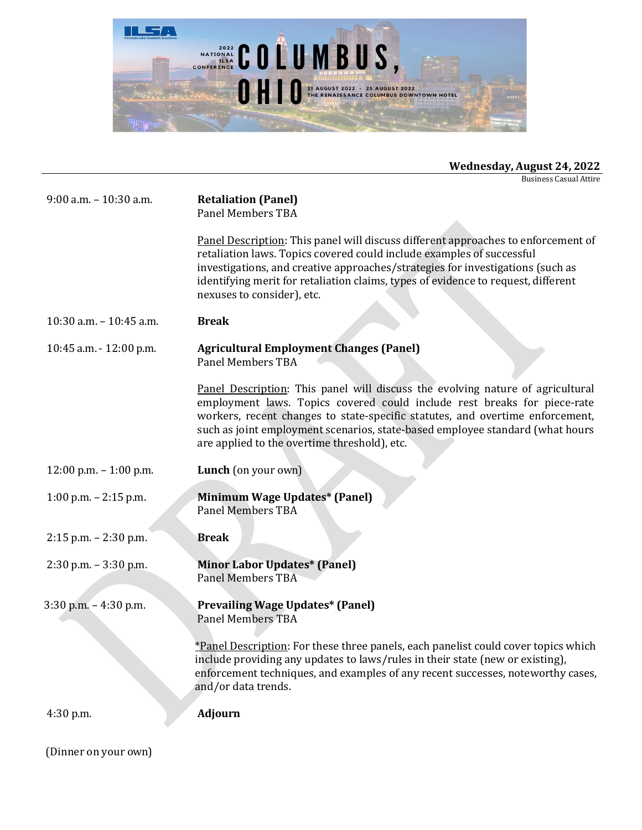

Business Casual Attire

| 9:00 a.m. - 10:30 a.m.    | <b>Retaliation (Panel)</b><br><b>Panel Members TBA</b>                                                                                                                                                                                                                                                                                                                       |
|---------------------------|------------------------------------------------------------------------------------------------------------------------------------------------------------------------------------------------------------------------------------------------------------------------------------------------------------------------------------------------------------------------------|
|                           | Panel Description: This panel will discuss different approaches to enforcement of<br>retaliation laws. Topics covered could include examples of successful<br>investigations, and creative approaches/strategies for investigations (such as<br>identifying merit for retaliation claims, types of evidence to request, different<br>nexuses to consider), etc.              |
| 10:30 a.m. - 10:45 a.m.   | <b>Break</b>                                                                                                                                                                                                                                                                                                                                                                 |
| 10:45 a.m. - 12:00 p.m.   | <b>Agricultural Employment Changes (Panel)</b><br><b>Panel Members TBA</b>                                                                                                                                                                                                                                                                                                   |
|                           | Panel Description: This panel will discuss the evolving nature of agricultural<br>employment laws. Topics covered could include rest breaks for piece-rate<br>workers, recent changes to state-specific statutes, and overtime enforcement,<br>such as joint employment scenarios, state-based employee standard (what hours<br>are applied to the overtime threshold), etc. |
| $12:00$ p.m. $-1:00$ p.m. | Lunch (on your own)                                                                                                                                                                                                                                                                                                                                                          |
| 1:00 p.m. $- 2:15$ p.m.   | Minimum Wage Updates* (Panel)<br><b>Panel Members TBA</b>                                                                                                                                                                                                                                                                                                                    |
| $2:15$ p.m. $- 2:30$ p.m. | <b>Break</b>                                                                                                                                                                                                                                                                                                                                                                 |
| $2:30$ p.m. $-3:30$ p.m.  | <b>Minor Labor Updates* (Panel)</b><br><b>Panel Members TBA</b>                                                                                                                                                                                                                                                                                                              |
|                           |                                                                                                                                                                                                                                                                                                                                                                              |
| $3:30$ p.m. $-4:30$ p.m.  | <b>Prevailing Wage Updates* (Panel)</b><br>Panel Members TBA<br>*Panel Description: For these three panels, each panelist could cover topics which<br>include providing any updates to laws/rules in their state (new or existing),<br>enforcement techniques, and examples of any recent successes, noteworthy cases,                                                       |
|                           | and/or data trends.                                                                                                                                                                                                                                                                                                                                                          |

(Dinner on your own)